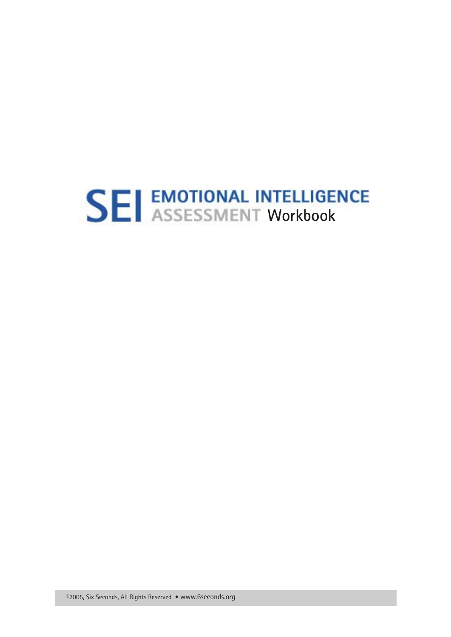# **SEI EMOTIONAL INTELLIGENCE**<br>**SEI** ASSESSMENT Workbook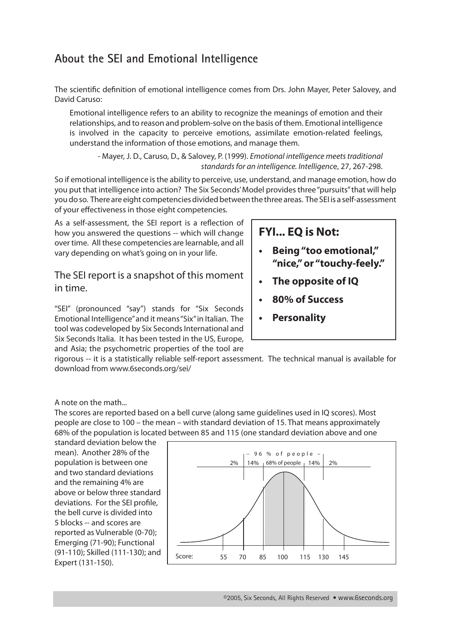#### **About the SEI and Emotional Intelligence**

The scientific definition of emotional intelligence comes from Drs. John Mayer, Peter Salovey, and David Caruso:

Emotional intelligence refers to an ability to recognize the meanings of emotion and their relationships, and to reason and problem-solve on the basis of them. Emotional intelligence is involved in the capacity to perceive emotions, assimilate emotion-related feelings, understand the information of those emotions, and manage them.

- Mayer, J. D., Caruso, D., & Salovey, P. (1999). *Emotional intelligence meets traditional standards for an intelligence. Intelligenc*e, 27, 267-298.

So if emotional intelligence is the ability to perceive, use, understand, and manage emotion, how do you put that intelligence into action? The Six Seconds' Model provides three "pursuits" that will help you do so. There are eight competencies divided between the three areas. The SEI is a self-assessment of your effectiveness in those eight competencies.

As a self-assessment, the SEI report is a reflection of how you answered the questions -- which will change over time. All these competencies are learnable, and all vary depending on what's going on in your life.

The SEI report is a snapshot of this moment in time.

"SEI" (pronounced "say") stands for "Six Seconds Emotional Intelligence" and it means "Six" in Italian. The tool was codeveloped by Six Seconds International and Six Seconds Italia. It has been tested in the US, Europe, and Asia; the psychometric properties of the tool are

#### **FYI... EQ is Not:**

- **• Being"too emotional," "nice,"or "touchy-feely."**
- **• The opposite of IQ**
- **• 80% of Success**
- **Personality**

rigorous -- it is a statistically reliable self-report assessment. The technical manual is available for download from www.6seconds.org/sei/

A note on the math...

The scores are reported based on a bell curve (along same guidelines used in IQ scores). Most people are close to 100 – the mean – with standard deviation of 15. That means approximately 68% of the population is located between 85 and 115 (one standard deviation above and one

standard deviation below the mean). Another 28% of the population is between one and two standard deviations and the remaining 4% are above or below three standard deviations. For the SEI profile, the bell curve is divided into 5 blocks -- and scores are reported as Vulnerable (0-70); Emerging (71-90); Functional (91-110); Skilled (111-130); and Expert (131-150).

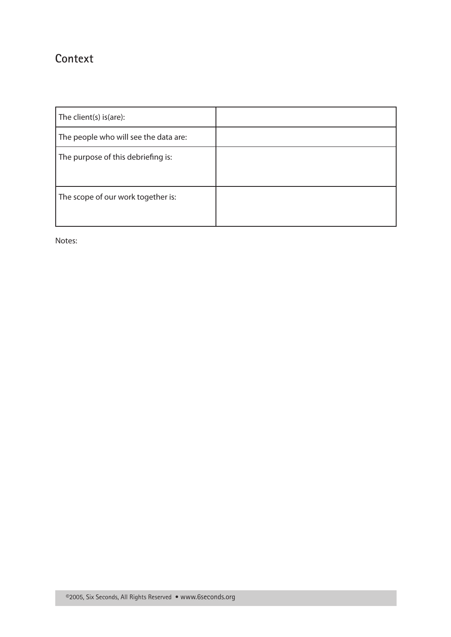#### **Context**

| The client(s) is(are):                |  |
|---------------------------------------|--|
| The people who will see the data are: |  |
| The purpose of this debriefing is:    |  |
| The scope of our work together is:    |  |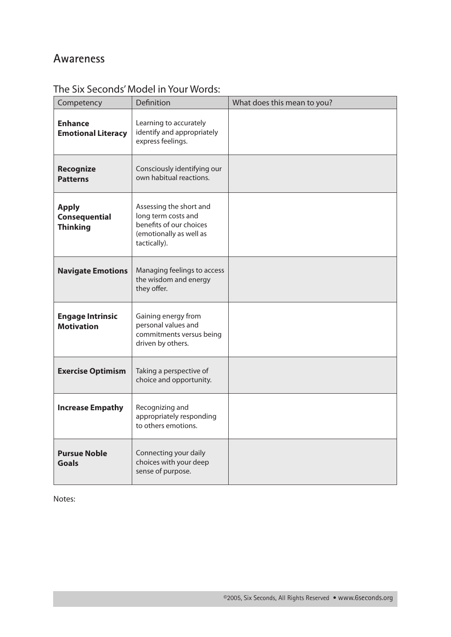#### **Awareness**

| Competency                                              | Definition                                                                                                           | What does this mean to you? |
|---------------------------------------------------------|----------------------------------------------------------------------------------------------------------------------|-----------------------------|
| <b>Enhance</b><br><b>Emotional Literacy</b>             | Learning to accurately<br>identify and appropriately<br>express feelings.                                            |                             |
| <b>Recognize</b><br><b>Patterns</b>                     | Consciously identifying our<br>own habitual reactions.                                                               |                             |
| <b>Apply</b><br><b>Consequential</b><br><b>Thinking</b> | Assessing the short and<br>long term costs and<br>benefits of our choices<br>(emotionally as well as<br>tactically). |                             |
| <b>Navigate Emotions</b>                                | Managing feelings to access<br>the wisdom and energy<br>they offer.                                                  |                             |
| <b>Engage Intrinsic</b><br><b>Motivation</b>            | Gaining energy from<br>personal values and<br>commitments versus being<br>driven by others.                          |                             |
| <b>Exercise Optimism</b>                                | Taking a perspective of<br>choice and opportunity.                                                                   |                             |
| <b>Increase Empathy</b>                                 | Recognizing and<br>appropriately responding<br>to others emotions.                                                   |                             |
| <b>Pursue Noble</b><br><b>Goals</b>                     | Connecting your daily<br>choices with your deep<br>sense of purpose.                                                 |                             |

#### The Six Seconds' Model in Your Words: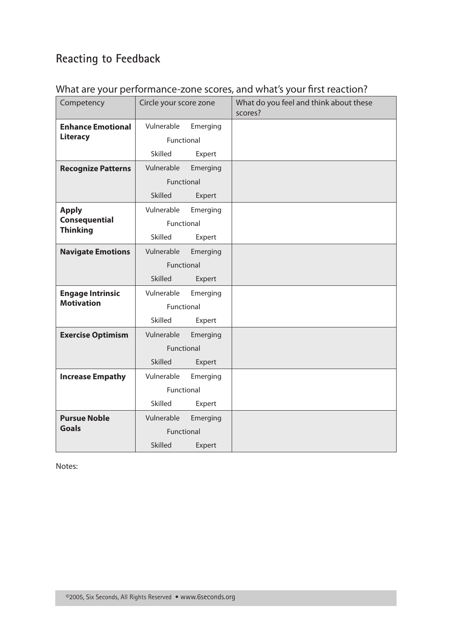# **Reacting to Feedback**

| Competency                              | Circle your score zone |          | What do you feel and think about these<br>scores? |
|-----------------------------------------|------------------------|----------|---------------------------------------------------|
| <b>Enhance Emotional</b>                | Vulnerable             | Emerging |                                                   |
| <b>Literacy</b>                         | Functional             |          |                                                   |
|                                         | Skilled                | Expert   |                                                   |
| <b>Recognize Patterns</b>               | Vulnerable             | Emerging |                                                   |
|                                         | Functional             |          |                                                   |
|                                         | <b>Skilled</b>         | Expert   |                                                   |
| <b>Apply</b>                            | Vulnerable             | Emerging |                                                   |
| <b>Consequential</b><br><b>Thinking</b> | Functional             |          |                                                   |
|                                         | Skilled                | Expert   |                                                   |
| <b>Navigate Emotions</b>                | Vulnerable             | Emerging |                                                   |
|                                         | Functional             |          |                                                   |
|                                         | Skilled                | Expert   |                                                   |
| <b>Engage Intrinsic</b>                 | Vulnerable             | Emerging |                                                   |
| <b>Motivation</b>                       | Functional             |          |                                                   |
|                                         | Skilled                | Expert   |                                                   |
| <b>Exercise Optimism</b>                | Vulnerable             | Emerging |                                                   |
|                                         | Functional             |          |                                                   |
|                                         | <b>Skilled</b>         | Expert   |                                                   |
| <b>Increase Empathy</b>                 | Vulnerable             | Emerging |                                                   |
|                                         | Functional             |          |                                                   |
|                                         | Skilled                | Expert   |                                                   |
| <b>Pursue Noble</b><br><b>Goals</b>     | Vulnerable             | Emerging |                                                   |
|                                         | Functional             |          |                                                   |
|                                         | <b>Skilled</b>         | Expert   |                                                   |

#### What are your performance-zone scores, and what's your first reaction?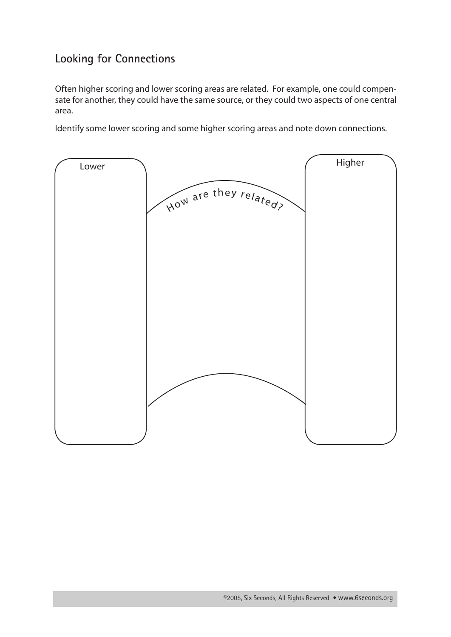### **Looking for Connections**

Often higher scoring and lower scoring areas are related. For example, one could compensate for another, they could have the same source, or they could two aspects of one central area.

Identify some lower scoring and some higher scoring areas and note down connections.

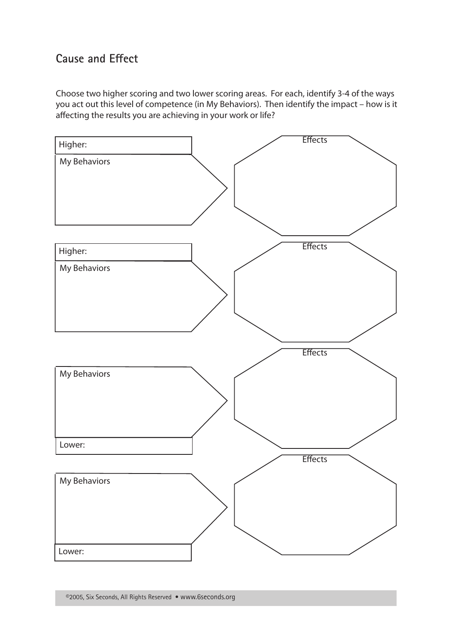#### **Cause and Effect**

Choose two higher scoring and two lower scoring areas. For each, identify 3-4 of the ways you act out this level of competence (in My Behaviors). Then identify the impact – how is it affecting the results you are achieving in your work or life?

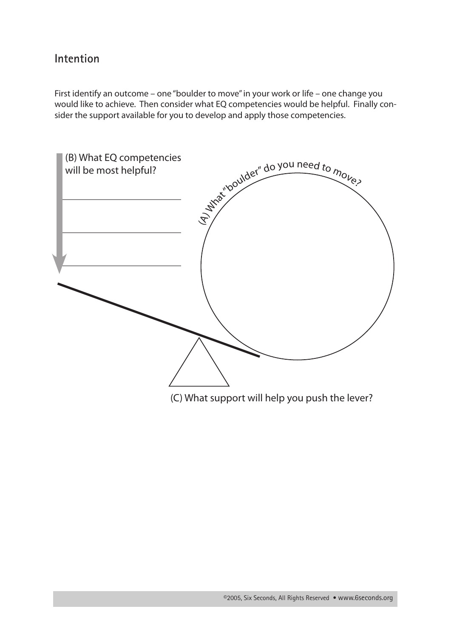#### **Intention**

First identify an outcome – one "boulder to move" in your work or life – one change you would like to achieve. Then consider what EQ competencies would be helpful. Finally consider the support available for you to develop and apply those competencies.



(C) What support will help you push the lever?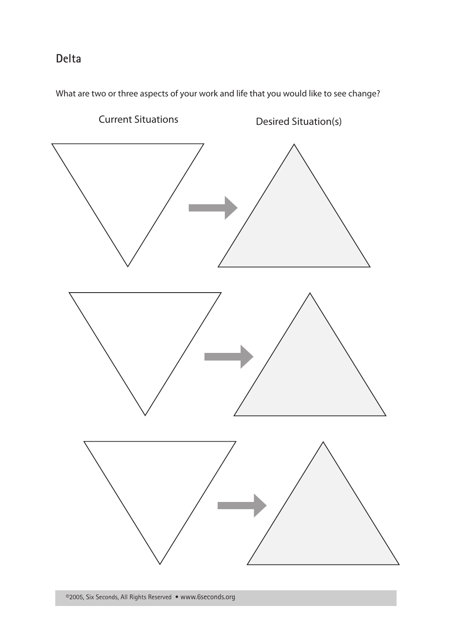#### **Delta**

What are two or three aspects of your work and life that you would like to see change?

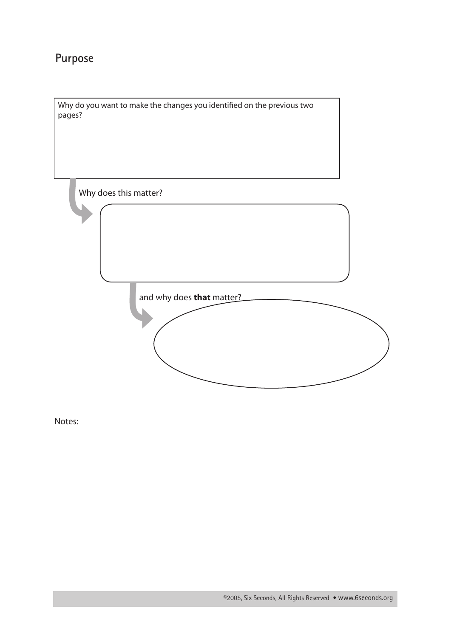## **Purpose**

Why do you want to make the changes you identified on the previous two pages?

Why does this matter?

and why does **that** matter?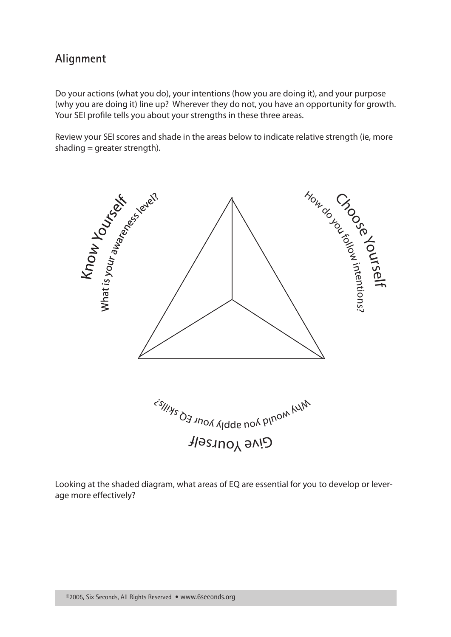#### **Alignment**

Do your actions (what you do), your intentions (how you are doing it), and your purpose (why you are doing it) line up? Wherever they do not, you have an opportunity for growth. Your SEI profile tells you about your strengths in these three areas.

Review your SEI scores and shade in the areas below to indicate relative strength (ie, more shading = greater strength).



Looking at the shaded diagram, what areas of EQ are essential for you to develop or leverage more effectively?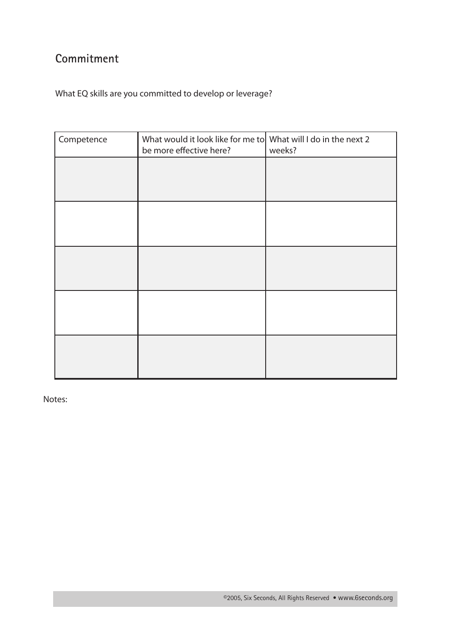# **Commitment**

What EQ skills are you committed to develop or leverage?

| Competence | What would it look like for me to What will I do in the next 2<br>be more effective here? | weeks? |
|------------|-------------------------------------------------------------------------------------------|--------|
|            |                                                                                           |        |
|            |                                                                                           |        |
|            |                                                                                           |        |
|            |                                                                                           |        |
|            |                                                                                           |        |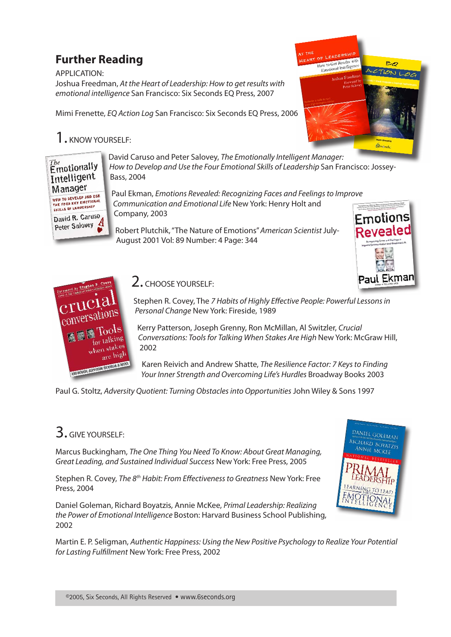# **Further Reading**

APPLICATION: Joshua Freedman, *At the Heart of Leadership: How to get results with emotional intelligence* San Francisco: Six Seconds EQ Press, 2007

Mimi Frenette, *EQ Action Log* San Francisco: Six Seconds EQ Press, 2006

# $1.$  KNOW YOURSELF



David Caruso and Peter Salovey, *The Emotionally Intelligent Manager: How to Develop and Use the Four Emotional Skills of Leadership San Francisco: Jossey-*Bass, 2004

Paul Ekman, *Emotions Revealed: Recognizing Faces and Feelings to Improve Communication and Emotional Life* New York: Henry Holt and Company, 2003

Robert Plutchik, "The Nature of Emotions" *American Scientist* July-August 2001 Vol: 89 Number: 4 Page: 344



How to Get Results with o Get nestrige



#### 2. CHOOSE YOURSELF:

Stephen R. Covey, The *7 Habits of Highly Effective People: Powerful Lessons in Personal Change* New York: Fireside, 1989

Kerry Patterson, Joseph Grenny, Ron McMillan, Al Switzler, *Crucial Conversations: Tools for Talking When Stakes Are High* New York: McGraw Hill, 2002

Karen Reivich and Andrew Shatte, *The Resilience Factor: 7 Keys to Finding Your Inner Strength and Overcoming Life's Hurdles* Broadway Books 2003

Paul G. Stoltz, *Adversity Quotient: Turning Obstacles into Opportunities* John Wiley & Sons 1997

# 3. GIVE YOURSELF:

Marcus Buckingham, *The One Thing You Need To Know: About Great Managing, Great Leading, and Sustained Individual Success* New York: Free Press, 2005

Stephen R. Covey, *The 8th Habit: From Effectiveness to Greatness* New York: Free Press, 2004

Daniel Goleman, Richard Boyatzis, Annie McKee, *Primal Leadership: Realizing the Power of Emotional Intelligence* Boston: Harvard Business School Publishing, 2002



Martin E. P. Seligman, *Authentic Happiness: Using the New Positive Psychology to Realize Your Potential for Lasting Fulfillment* New York: Free Press, 2002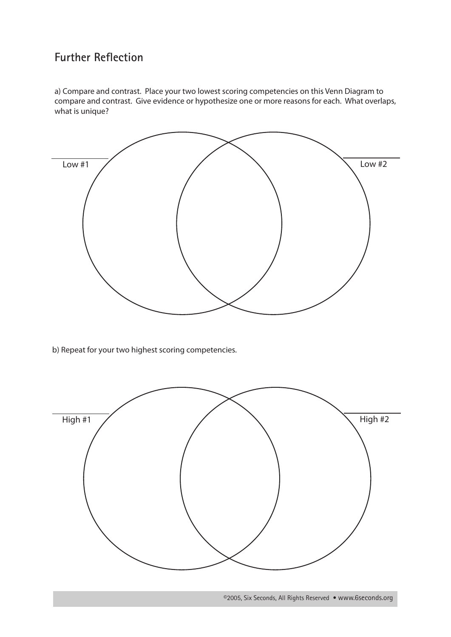#### **Further Reflection**

a) Compare and contrast. Place your two lowest scoring competencies on this Venn Diagram to compare and contrast. Give evidence or hypothesize one or more reasons for each. What overlaps, what is unique?



b) Repeat for your two highest scoring competencies.



©2005, Six Seconds, All Rights Reserved • www.6seconds.org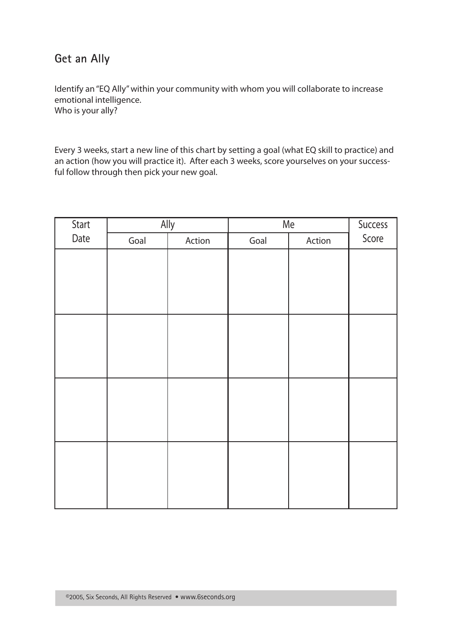#### **Get an Ally**

Identify an "EQ Ally" within your community with whom you will collaborate to increase emotional intelligence. Who is your ally?

Every 3 weeks, start a new line of this chart by setting a goal (what EQ skill to practice) and an action (how you will practice it). After each 3 weeks, score yourselves on your successful follow through then pick your new goal.

|      | Ally<br>Start |        | Me   |        | Success |
|------|---------------|--------|------|--------|---------|
| Date | Goal          | Action | Goal | Action | Score   |
|      |               |        |      |        |         |
|      |               |        |      |        |         |
|      |               |        |      |        |         |
|      |               |        |      |        |         |
|      |               |        |      |        |         |
|      |               |        |      |        |         |
|      |               |        |      |        |         |
|      |               |        |      |        |         |
|      |               |        |      |        |         |
|      |               |        |      |        |         |
|      |               |        |      |        |         |
|      |               |        |      |        |         |
|      |               |        |      |        |         |
|      |               |        |      |        |         |
|      |               |        |      |        |         |
|      |               |        |      |        |         |